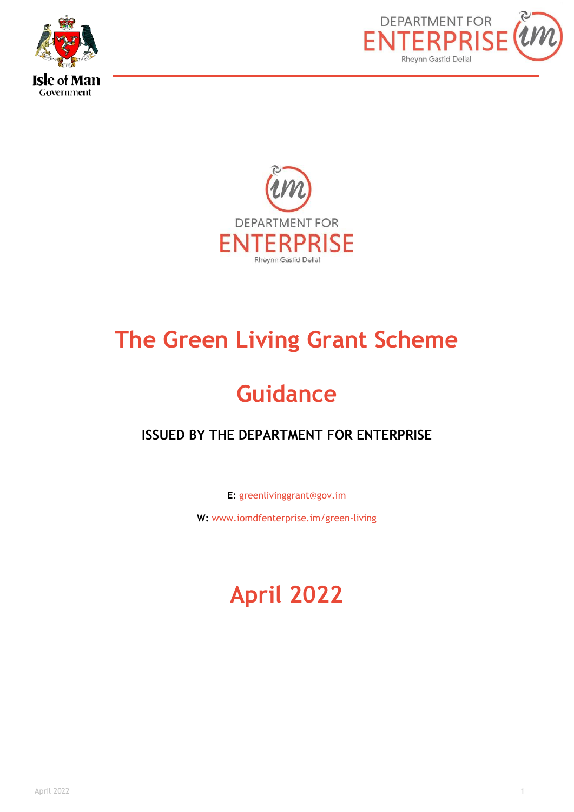





# **The Green Living Grant Scheme**

# **Guidance**

# **ISSUED BY THE DEPARTMENT FOR ENTERPRISE**

**E:** greenlivinggrant@gov.im

**W:** www.iomdfenterprise.im/green-living

# **April 2022**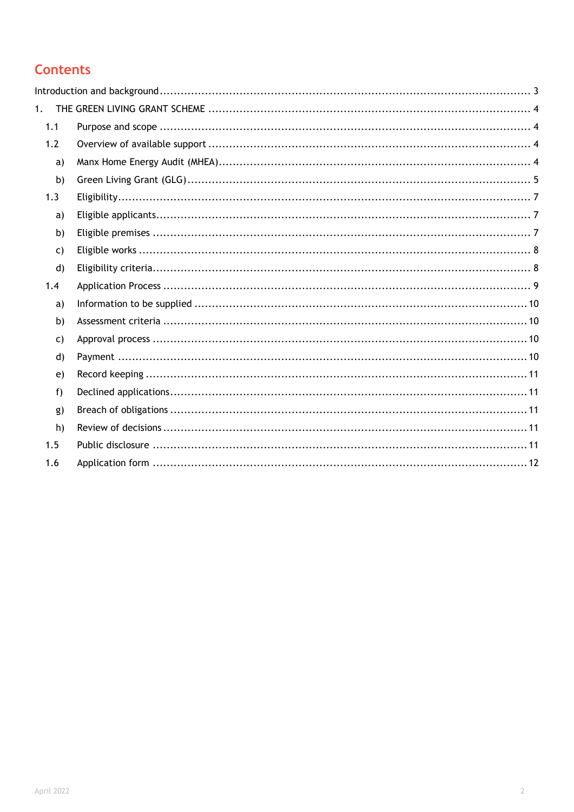# **Contents**

| 1.           |  |
|--------------|--|
| 1.1          |  |
| 1.2          |  |
| a)           |  |
| b)           |  |
| 1.3          |  |
| a)           |  |
| b)           |  |
| $\mathsf{C}$ |  |
| $\mathsf{d}$ |  |
| 1.4          |  |
| a)           |  |
| b)           |  |
| $\mathsf{C}$ |  |
| $\mathsf{d}$ |  |
| e)           |  |
| f)           |  |
| g)           |  |
| h)           |  |
| 1.5          |  |
| 1.6          |  |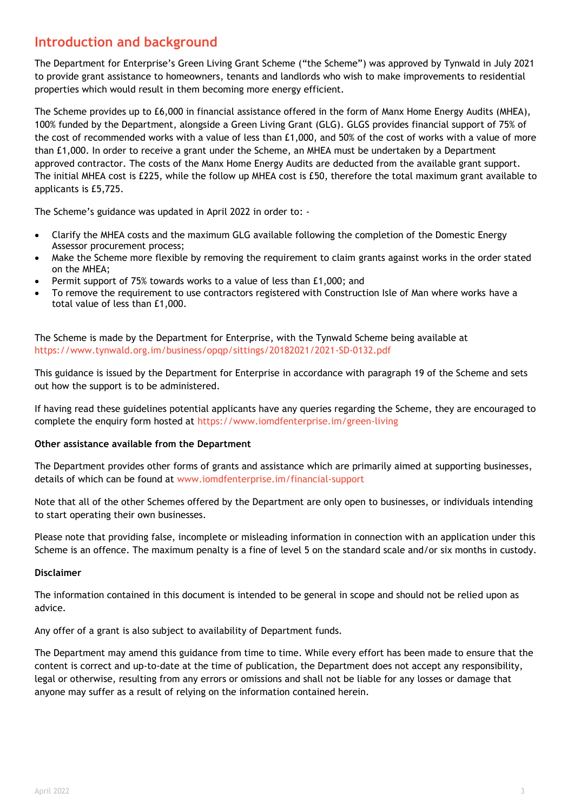## <span id="page-2-0"></span>**Introduction and background**

The Department for Enterprise's Green Living Grant Scheme ("the Scheme") was approved by Tynwald in July 2021 to provide grant assistance to homeowners, tenants and landlords who wish to make improvements to residential properties which would result in them becoming more energy efficient.

The Scheme provides up to £6,000 in financial assistance offered in the form of Manx Home Energy Audits (MHEA), 100% funded by the Department, alongside a Green Living Grant (GLG). GLGS provides financial support of 75% of the cost of recommended works with a value of less than £1,000, and 50% of the cost of works with a value of more than £1,000. In order to receive a grant under the Scheme, an MHEA must be undertaken by a Department approved contractor. The costs of the Manx Home Energy Audits are deducted from the available grant support. The initial MHEA cost is £225, while the follow up MHEA cost is £50, therefore the total maximum grant available to applicants is £5,725.

The Scheme's guidance was updated in April 2022 in order to: -

- Clarify the MHEA costs and the maximum GLG available following the completion of the Domestic Energy Assessor procurement process;
- Make the Scheme more flexible by removing the requirement to claim grants against works in the order stated on the MHEA;
- Permit support of 75% towards works to a value of less than £1,000; and
- To remove the requirement to use contractors registered with Construction Isle of Man where works have a total value of less than £1,000.

The Scheme is made by the Department for Enterprise, with the Tynwald Scheme being available at <https://www.tynwald.org.im/business/opqp/sittings/20182021/2021-SD-0132.pdf>

This guidance is issued by the Department for Enterprise in accordance with paragraph 19 of the Scheme and sets out how the support is to be administered.

If having read these guidelines potential applicants have any queries regarding the Scheme, they are encouraged to complete the enquiry form hosted at<https://www.iomdfenterprise.im/green-living>

#### **Other assistance available from the Department**

The Department provides other forms of grants and assistance which are primarily aimed at supporting businesses, details of which can be found at www.iomdfenterprise.im/financial-support

Note that all of the other Schemes offered by the Department are only open to businesses, or individuals intending to start operating their own businesses.

Please note that providing false, incomplete or misleading information in connection with an application under this Scheme is an offence. The maximum penalty is a fine of level 5 on the standard scale and/or six months in custody.

#### **Disclaimer**

The information contained in this document is intended to be general in scope and should not be relied upon as advice.

Any offer of a grant is also subject to availability of Department funds.

The Department may amend this guidance from time to time. While every effort has been made to ensure that the content is correct and up-to-date at the time of publication, the Department does not accept any responsibility, legal or otherwise, resulting from any errors or omissions and shall not be liable for any losses or damage that anyone may suffer as a result of relying on the information contained herein.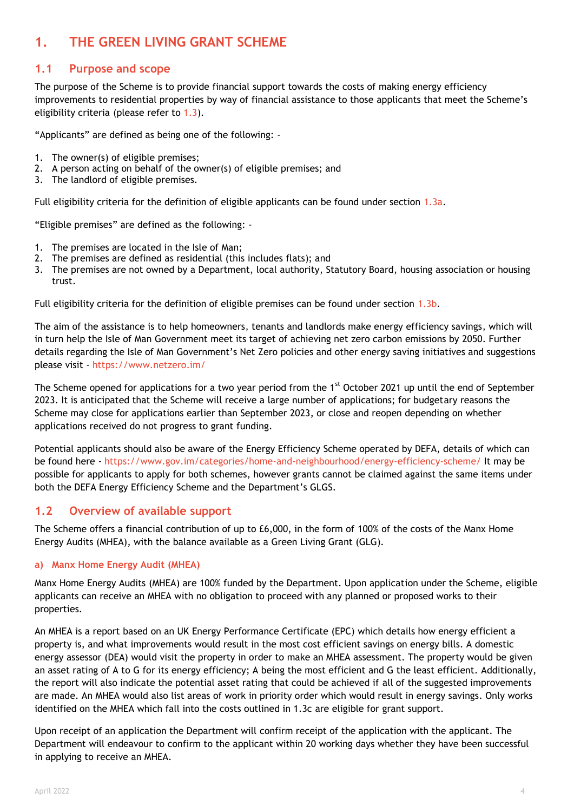# <span id="page-3-0"></span>**1. THE GREEN LIVING GRANT SCHEME**

## <span id="page-3-1"></span>**1.1 Purpose and scope**

The purpose of the Scheme is to provide financial support towards the costs of making energy efficiency improvements to residential properties by way of financial assistance to those applicants that meet the Scheme's eligibility criteria (please refer to [1.3\)](#page-6-0).

"Applicants" are defined as being one of the following: -

- 1. The owner(s) of eligible premises;
- 2. A person acting on behalf of the owner(s) of eligible premises; and
- 3. The landlord of eligible premises.

Full eligibility criteria for the definition of eligible applicants can be found under section [1.3a.](#page-6-1)

"Eligible premises" are defined as the following: -

- 1. The premises are located in the Isle of Man;
- 2. The premises are defined as residential (this includes flats); and
- 3. The premises are not owned by a Department, local authority, Statutory Board, housing association or housing trust.

Full eligibility criteria for the definition of eligible premises can be found under section [1.3b.](#page-6-2)

The aim of the assistance is to help homeowners, tenants and landlords make energy efficiency savings, which will in turn help the Isle of Man Government meet its target of achieving net zero carbon emissions by 2050. Further details regarding the Isle of Man Government's Net Zero policies and other energy saving initiatives and suggestions please visit - <https://www.netzero.im/>

The Scheme opened for applications for a two year period from the 1<sup>st</sup> October 2021 up until the end of September 2023. It is anticipated that the Scheme will receive a large number of applications; for budgetary reasons the Scheme may close for applications earlier than September 2023, or close and reopen depending on whether applications received do not progress to grant funding.

Potential applicants should also be aware of the Energy Efficiency Scheme operated by DEFA, details of which can be found here - <https://www.gov.im/categories/home-and-neighbourhood/energy-efficiency-scheme/> It may be possible for applicants to apply for both schemes, however grants cannot be claimed against the same items under both the DEFA Energy Efficiency Scheme and the Department's GLGS.

### <span id="page-3-2"></span>**1.2 Overview of available support**

The Scheme offers a financial contribution of up to £6,000, in the form of 100% of the costs of the Manx Home Energy Audits (MHEA), with the balance available as a Green Living Grant (GLG).

#### <span id="page-3-3"></span>**a) Manx Home Energy Audit (MHEA)**

Manx Home Energy Audits (MHEA) are 100% funded by the Department. Upon application under the Scheme, eligible applicants can receive an MHEA with no obligation to proceed with any planned or proposed works to their properties.

An MHEA is a report based on an UK Energy Performance Certificate (EPC) which details how energy efficient a property is, and what improvements would result in the most cost efficient savings on energy bills. A domestic energy assessor (DEA) would visit the property in order to make an MHEA assessment. The property would be given an asset rating of A to G for its energy efficiency; A being the most efficient and G the least efficient. Additionally, the report will also indicate the potential asset rating that could be achieved if all of the suggested improvements are made. An MHEA would also list areas of work in priority order which would result in energy savings. Only works identified on the MHEA which fall into the costs outlined in 1.3c are eligible for grant support.

Upon receipt of an application the Department will confirm receipt of the application with the applicant. The Department will endeavour to confirm to the applicant within 20 working days whether they have been successful in applying to receive an MHEA.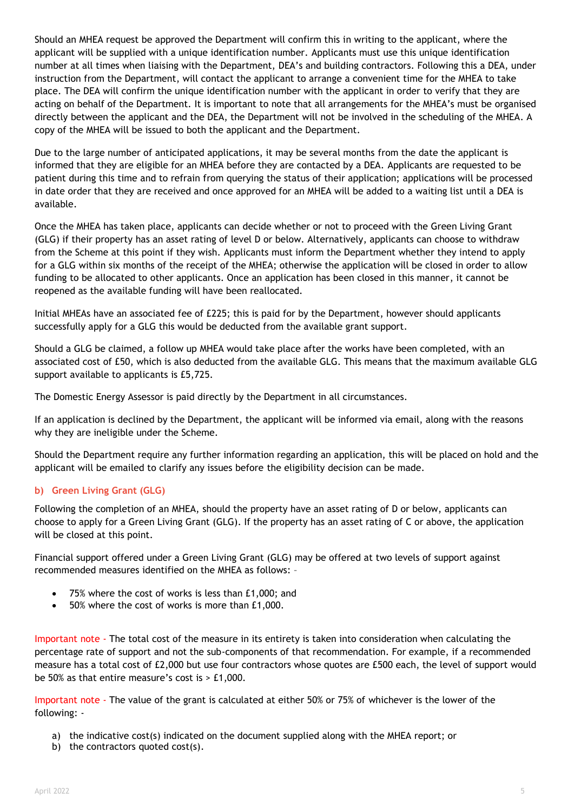Should an MHEA request be approved the Department will confirm this in writing to the applicant, where the applicant will be supplied with a unique identification number. Applicants must use this unique identification number at all times when liaising with the Department, DEA's and building contractors. Following this a DEA, under instruction from the Department, will contact the applicant to arrange a convenient time for the MHEA to take place. The DEA will confirm the unique identification number with the applicant in order to verify that they are acting on behalf of the Department. It is important to note that all arrangements for the MHEA's must be organised directly between the applicant and the DEA, the Department will not be involved in the scheduling of the MHEA. A copy of the MHEA will be issued to both the applicant and the Department.

Due to the large number of anticipated applications, it may be several months from the date the applicant is informed that they are eligible for an MHEA before they are contacted by a DEA. Applicants are requested to be patient during this time and to refrain from querying the status of their application; applications will be processed in date order that they are received and once approved for an MHEA will be added to a waiting list until a DEA is available.

Once the MHEA has taken place, applicants can decide whether or not to proceed with the Green Living Grant (GLG) if their property has an asset rating of level D or below. Alternatively, applicants can choose to withdraw from the Scheme at this point if they wish. Applicants must inform the Department whether they intend to apply for a GLG within six months of the receipt of the MHEA; otherwise the application will be closed in order to allow funding to be allocated to other applicants. Once an application has been closed in this manner, it cannot be reopened as the available funding will have been reallocated.

Initial MHEAs have an associated fee of £225; this is paid for by the Department, however should applicants successfully apply for a GLG this would be deducted from the available grant support.

Should a GLG be claimed, a follow up MHEA would take place after the works have been completed, with an associated cost of £50, which is also deducted from the available GLG. This means that the maximum available GLG support available to applicants is £5,725.

The Domestic Energy Assessor is paid directly by the Department in all circumstances.

If an application is declined by the Department, the applicant will be informed via email, along with the reasons why they are ineligible under the Scheme.

Should the Department require any further information regarding an application, this will be placed on hold and the applicant will be emailed to clarify any issues before the eligibility decision can be made.

#### <span id="page-4-0"></span>**b) Green Living Grant (GLG)**

Following the completion of an MHEA, should the property have an asset rating of D or below, applicants can choose to apply for a Green Living Grant (GLG). If the property has an asset rating of C or above, the application will be closed at this point.

Financial support offered under a Green Living Grant (GLG) may be offered at two levels of support against recommended measures identified on the MHEA as follows: –

- 75% where the cost of works is less than £1,000; and
- 50% where the cost of works is more than £1,000.

Important note - The total cost of the measure in its entirety is taken into consideration when calculating the percentage rate of support and not the sub-components of that recommendation. For example, if a recommended measure has a total cost of £2,000 but use four contractors whose quotes are £500 each, the level of support would be 50% as that entire measure's cost is  $> \text{\pounds}1,000$ .

Important note - The value of the grant is calculated at either 50% or 75% of whichever is the lower of the following: -

- a) the indicative cost(s) indicated on the document supplied along with the MHEA report; or
- b) the contractors quoted cost(s).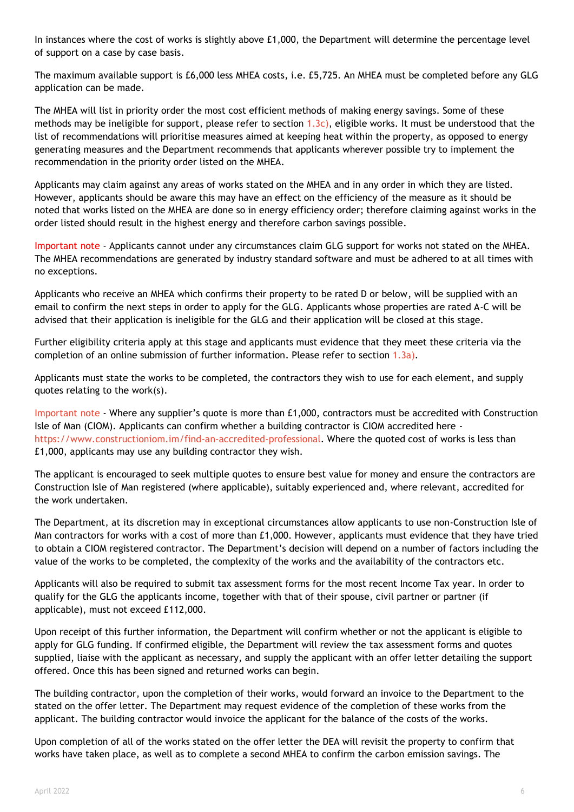In instances where the cost of works is slightly above £1,000, the Department will determine the percentage level of support on a case by case basis.

The maximum available support is £6,000 less MHEA costs, i.e. £5,725. An MHEA must be completed before any GLG application can be made.

The MHEA will list in priority order the most cost efficient methods of making energy savings. Some of these methods may be ineligible for support, please refer to section  $(1.3c)$ , eligible works. It must be understood that the list of recommendations will prioritise measures aimed at keeping heat within the property, as opposed to energy generating measures and the Department recommends that applicants wherever possible try to implement the recommendation in the priority order listed on the MHEA.

Applicants may claim against any areas of works stated on the MHEA and in any order in which they are listed. However, applicants should be aware this may have an effect on the efficiency of the measure as it should be noted that works listed on the MHEA are done so in energy efficiency order; therefore claiming against works in the order listed should result in the highest energy and therefore carbon savings possible.

Important note - Applicants cannot under any circumstances claim GLG support for works not stated on the MHEA. The MHEA recommendations are generated by industry standard software and must be adhered to at all times with no exceptions.

Applicants who receive an MHEA which confirms their property to be rated D or below, will be supplied with an email to confirm the next steps in order to apply for the GLG. Applicants whose properties are rated A-C will be advised that their application is ineligible for the GLG and their application will be closed at this stage.

Further eligibility criteria apply at this stage and applicants must evidence that they meet these criteria via the completion of an online submission of further information. Please refer to section [1.3a\).](#page-6-1)

Applicants must state the works to be completed, the contractors they wish to use for each element, and supply quotes relating to the work(s).

Important note - Where any supplier's quote is more than £1,000, contractors must be accredited with Construction Isle of Man (CIOM). Applicants can confirm whether a building contractor is CIOM accredited here [https://www.constructioniom.im/find-an-accredited-professional.](https://www.constructioniom.im/find-an-accredited-professional) Where the quoted cost of works is less than £1,000, applicants may use any building contractor they wish.

The applicant is encouraged to seek multiple quotes to ensure best value for money and ensure the contractors are Construction Isle of Man registered (where applicable), suitably experienced and, where relevant, accredited for the work undertaken.

The Department, at its discretion may in exceptional circumstances allow applicants to use non-Construction Isle of Man contractors for works with a cost of more than £1,000. However, applicants must evidence that they have tried to obtain a CIOM registered contractor. The Department's decision will depend on a number of factors including the value of the works to be completed, the complexity of the works and the availability of the contractors etc.

Applicants will also be required to submit tax assessment forms for the most recent Income Tax year. In order to qualify for the GLG the applicants income, together with that of their spouse, civil partner or partner (if applicable), must not exceed £112,000.

Upon receipt of this further information, the Department will confirm whether or not the applicant is eligible to apply for GLG funding. If confirmed eligible, the Department will review the tax assessment forms and quotes supplied, liaise with the applicant as necessary, and supply the applicant with an offer letter detailing the support offered. Once this has been signed and returned works can begin.

The building contractor, upon the completion of their works, would forward an invoice to the Department to the stated on the offer letter. The Department may request evidence of the completion of these works from the applicant. The building contractor would invoice the applicant for the balance of the costs of the works.

Upon completion of all of the works stated on the offer letter the DEA will revisit the property to confirm that works have taken place, as well as to complete a second MHEA to confirm the carbon emission savings. The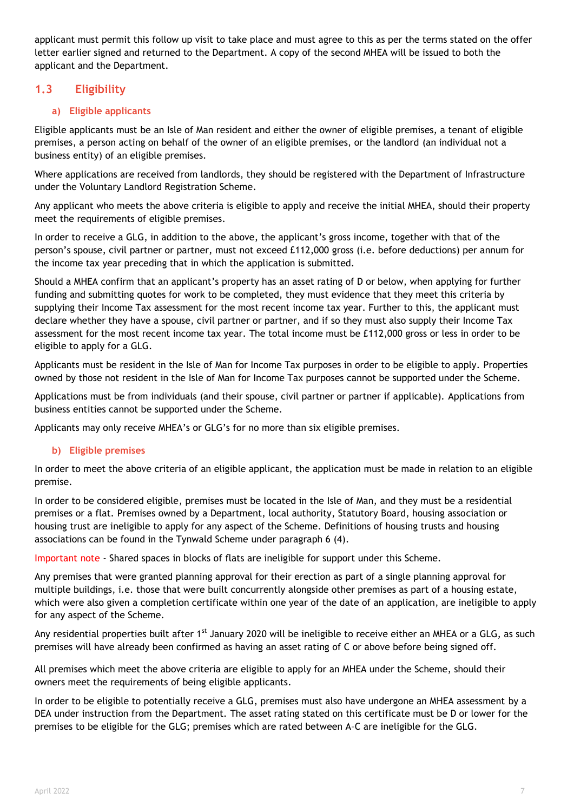applicant must permit this follow up visit to take place and must agree to this as per the terms stated on the offer letter earlier signed and returned to the Department. A copy of the second MHEA will be issued to both the applicant and the Department.

## **1.3 Eligibility**

#### <span id="page-6-1"></span><span id="page-6-0"></span>**a) Eligible applicants**

Eligible applicants must be an Isle of Man resident and either the owner of eligible premises, a tenant of eligible premises, a person acting on behalf of the owner of an eligible premises, or the landlord (an individual not a business entity) of an eligible premises.

Where applications are received from landlords, they should be registered with the Department of Infrastructure under the Voluntary Landlord Registration Scheme.

Any applicant who meets the above criteria is eligible to apply and receive the initial MHEA, should their property meet the requirements of eligible premises.

In order to receive a GLG, in addition to the above, the applicant's gross income, together with that of the person's spouse, civil partner or partner, must not exceed £112,000 gross (i.e. before deductions) per annum for the income tax year preceding that in which the application is submitted.

Should a MHEA confirm that an applicant's property has an asset rating of D or below, when applying for further funding and submitting quotes for work to be completed, they must evidence that they meet this criteria by supplying their Income Tax assessment for the most recent income tax year. Further to this, the applicant must declare whether they have a spouse, civil partner or partner, and if so they must also supply their Income Tax assessment for the most recent income tax year. The total income must be £112,000 gross or less in order to be eligible to apply for a GLG.

Applicants must be resident in the Isle of Man for Income Tax purposes in order to be eligible to apply. Properties owned by those not resident in the Isle of Man for Income Tax purposes cannot be supported under the Scheme.

Applications must be from individuals (and their spouse, civil partner or partner if applicable). Applications from business entities cannot be supported under the Scheme.

Applicants may only receive MHEA's or GLG's for no more than six eligible premises.

#### <span id="page-6-2"></span>**b) Eligible premises**

In order to meet the above criteria of an eligible applicant, the application must be made in relation to an eligible premise.

In order to be considered eligible, premises must be located in the Isle of Man, and they must be a residential premises or a flat. Premises owned by a Department, local authority, Statutory Board, housing association or housing trust are ineligible to apply for any aspect of the Scheme. Definitions of housing trusts and housing associations can be found in the Tynwald Scheme under paragraph 6 (4).

Important note - Shared spaces in blocks of flats are ineligible for support under this Scheme.

Any premises that were granted planning approval for their erection as part of a single planning approval for multiple buildings, i.e. those that were built concurrently alongside other premises as part of a housing estate, which were also given a completion certificate within one year of the date of an application, are ineligible to apply for any aspect of the Scheme.

Any residential properties built after 1<sup>st</sup> January 2020 will be ineligible to receive either an MHEA or a GLG, as such premises will have already been confirmed as having an asset rating of C or above before being signed off.

All premises which meet the above criteria are eligible to apply for an MHEA under the Scheme, should their owners meet the requirements of being eligible applicants.

In order to be eligible to potentially receive a GLG, premises must also have undergone an MHEA assessment by a DEA under instruction from the Department. The asset rating stated on this certificate must be D or lower for the premises to be eligible for the GLG; premises which are rated between A–C are ineligible for the GLG.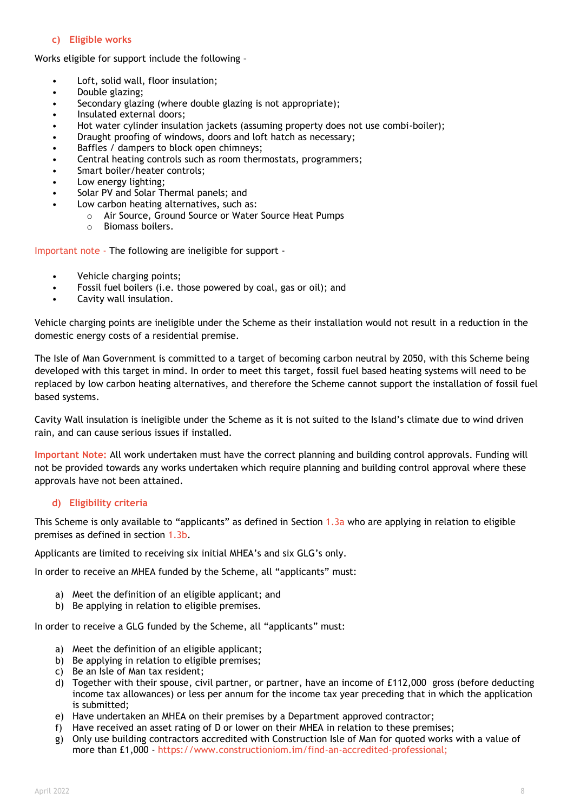#### **c) Eligible works**

<span id="page-7-0"></span>Works eligible for support include the following –

- Loft, solid wall, floor insulation;
- Double glazing;
- Secondary glazing (where double glazing is not appropriate);
- Insulated external doors;
- Hot water cylinder insulation jackets (assuming property does not use combi-boiler);
- Draught proofing of windows, doors and loft hatch as necessary;
- Baffles / dampers to block open chimneys;
- Central heating controls such as room thermostats, programmers;
- Smart boiler/heater controls;
- Low energy lighting;
- Solar PV and Solar Thermal panels; and
- Low carbon heating alternatives, such as:
	- o Air Source, Ground Source or Water Source Heat Pumps
		- o Biomass boilers.

Important note - The following are ineligible for support -

- Vehicle charging points;
- Fossil fuel boilers (i.e. those powered by coal, gas or oil); and
- Cavity wall insulation.

Vehicle charging points are ineligible under the Scheme as their installation would not result in a reduction in the domestic energy costs of a residential premise.

The Isle of Man Government is committed to a target of becoming carbon neutral by 2050, with this Scheme being developed with this target in mind. In order to meet this target, fossil fuel based heating systems will need to be replaced by low carbon heating alternatives, and therefore the Scheme cannot support the installation of fossil fuel based systems.

Cavity Wall insulation is ineligible under the Scheme as it is not suited to the Island's climate due to wind driven rain, and can cause serious issues if installed.

**Important Note:** All work undertaken must have the correct planning and building control approvals. Funding will not be provided towards any works undertaken which require planning and building control approval where these approvals have not been attained.

#### **d) Eligibility criteria**

<span id="page-7-1"></span>This Scheme is only available to "applicants" as defined in Section [1.3a](#page-6-1) who are applying in relation to eligible premises as defined in section [1.3b.](#page-6-2)

Applicants are limited to receiving six initial MHEA's and six GLG's only.

In order to receive an MHEA funded by the Scheme, all "applicants" must:

- a) Meet the definition of an eligible applicant; and
- b) Be applying in relation to eligible premises.

In order to receive a GLG funded by the Scheme, all "applicants" must:

- a) Meet the definition of an eligible applicant;
- b) Be applying in relation to eligible premises;
- c) Be an Isle of Man tax resident;
- d) Together with their spouse, civil partner, or partner, have an income of £112,000 gross (before deducting income tax allowances) or less per annum for the income tax year preceding that in which the application is submitted;
- e) Have undertaken an MHEA on their premises by a Department approved contractor;
- f) Have received an asset rating of D or lower on their MHEA in relation to these premises;
- g) Only use building contractors accredited with Construction Isle of Man for quoted works with a value of more than £1,000 - [https://www.constructioniom.im/find-an-accredited-professional;](https://www.constructioniom.im/find-an-accredited-professional)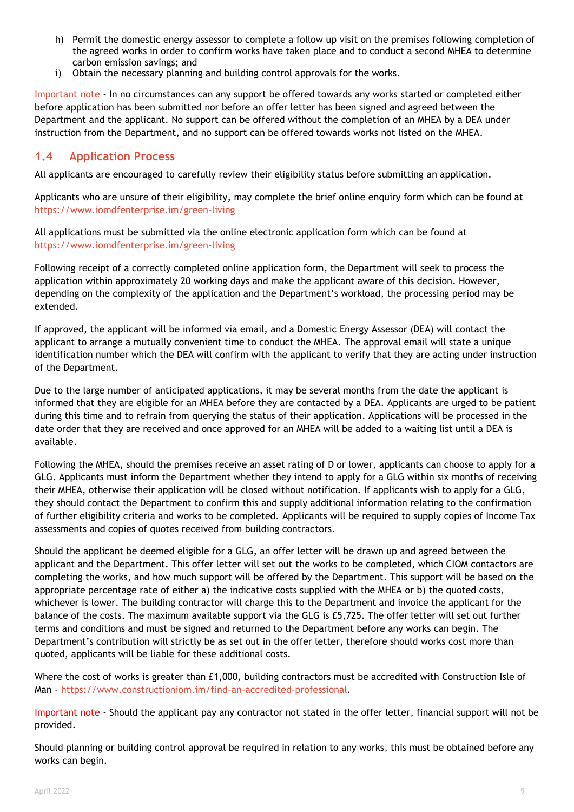- h) Permit the domestic energy assessor to complete a follow up visit on the premises following completion of the agreed works in order to confirm works have taken place and to conduct a second MHEA to determine carbon emission savings; and
- i) Obtain the necessary planning and building control approvals for the works.

Important note - In no circumstances can any support be offered towards any works started or completed either before application has been submitted nor before an offer letter has been signed and agreed between the Department and the applicant. No support can be offered without the completion of an MHEA by a DEA under instruction from the Department, and no support can be offered towards works not listed on the MHEA.

## <span id="page-8-0"></span>**1.4 Application Process**

All applicants are encouraged to carefully review their eligibility status before submitting an application.

Applicants who are unsure of their eligibility, may complete the brief online enquiry form which can be found at <https://www.iomdfenterprise.im/green-living>

All applications must be submitted via the online electronic application form which can be found at <https://www.iomdfenterprise.im/green-living>

Following receipt of a correctly completed online application form, the Department will seek to process the application within approximately 20 working days and make the applicant aware of this decision. However, depending on the complexity of the application and the Department's workload, the processing period may be extended.

If approved, the applicant will be informed via email, and a Domestic Energy Assessor (DEA) will contact the applicant to arrange a mutually convenient time to conduct the MHEA. The approval email will state a unique identification number which the DEA will confirm with the applicant to verify that they are acting under instruction of the Department.

Due to the large number of anticipated applications, it may be several months from the date the applicant is informed that they are eligible for an MHEA before they are contacted by a DEA. Applicants are urged to be patient during this time and to refrain from querying the status of their application. Applications will be processed in the date order that they are received and once approved for an MHEA will be added to a waiting list until a DEA is available.

Following the MHEA, should the premises receive an asset rating of D or lower, applicants can choose to apply for a GLG. Applicants must inform the Department whether they intend to apply for a GLG within six months of receiving their MHEA, otherwise their application will be closed without notification. If applicants wish to apply for a GLG, they should contact the Department to confirm this and supply additional information relating to the confirmation of further eligibility criteria and works to be completed. Applicants will be required to supply copies of Income Tax assessments and copies of quotes received from building contractors.

Should the applicant be deemed eligible for a GLG, an offer letter will be drawn up and agreed between the applicant and the Department. This offer letter will set out the works to be completed, which CIOM contactors are completing the works, and how much support will be offered by the Department. This support will be based on the appropriate percentage rate of either a) the indicative costs supplied with the MHEA or b) the quoted costs, whichever is lower. The building contractor will charge this to the Department and invoice the applicant for the balance of the costs. The maximum available support via the GLG is £5,725. The offer letter will set out further terms and conditions and must be signed and returned to the Department before any works can begin. The Department's contribution will strictly be as set out in the offer letter, therefore should works cost more than quoted, applicants will be liable for these additional costs.

Where the cost of works is greater than £1,000, building contractors must be accredited with Construction Isle of Man - [https://www.constructioniom.im/find-an-accredited-professional.](https://www.constructioniom.im/find-an-accredited-professional)

Important note - Should the applicant pay any contractor not stated in the offer letter, financial support will not be provided.

Should planning or building control approval be required in relation to any works, this must be obtained before any works can begin.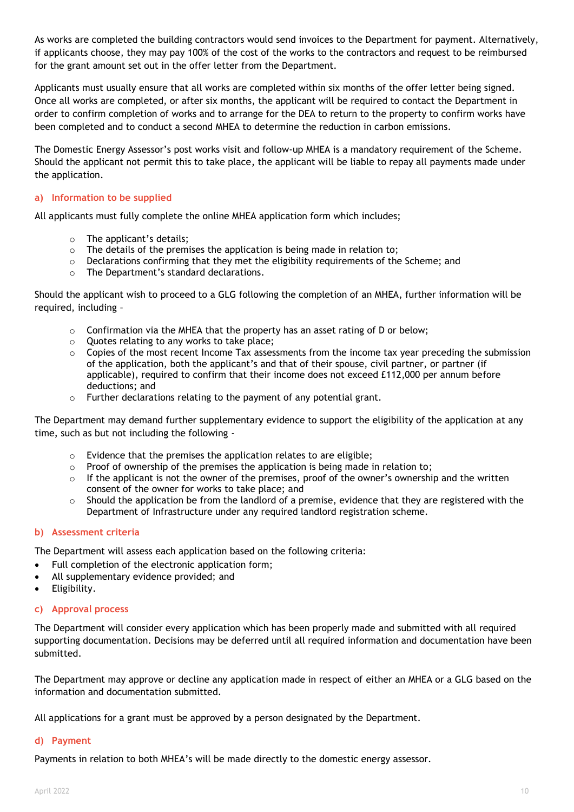As works are completed the building contractors would send invoices to the Department for payment. Alternatively, if applicants choose, they may pay 100% of the cost of the works to the contractors and request to be reimbursed for the grant amount set out in the offer letter from the Department.

Applicants must usually ensure that all works are completed within six months of the offer letter being signed. Once all works are completed, or after six months, the applicant will be required to contact the Department in order to confirm completion of works and to arrange for the DEA to return to the property to confirm works have been completed and to conduct a second MHEA to determine the reduction in carbon emissions.

The Domestic Energy Assessor's post works visit and follow-up MHEA is a mandatory requirement of the Scheme. Should the applicant not permit this to take place, the applicant will be liable to repay all payments made under the application.

#### <span id="page-9-0"></span>**a) Information to be supplied**

All applicants must fully complete the online MHEA application form which includes;

- o The applicant's details;
- o The details of the premises the application is being made in relation to;
- o Declarations confirming that they met the eligibility requirements of the Scheme; and
- o The Department's standard declarations.

Should the applicant wish to proceed to a GLG following the completion of an MHEA, further information will be required, including –

- $\circ$  Confirmation via the MHEA that the property has an asset rating of D or below;
- o Quotes relating to any works to take place;
- $\circ$  Copies of the most recent Income Tax assessments from the income tax year preceding the submission of the application, both the applicant's and that of their spouse, civil partner, or partner (if applicable), required to confirm that their income does not exceed £112,000 per annum before deductions; and
- o Further declarations relating to the payment of any potential grant.

The Department may demand further supplementary evidence to support the eligibility of the application at any time, such as but not including the following -

- o Evidence that the premises the application relates to are eligible;
- $\circ$  Proof of ownership of the premises the application is being made in relation to;
- $\circ$  If the applicant is not the owner of the premises, proof of the owner's ownership and the written consent of the owner for works to take place; and
- $\circ$  Should the application be from the landlord of a premise, evidence that they are registered with the Department of Infrastructure under any required landlord registration scheme.

#### <span id="page-9-1"></span>**b) Assessment criteria**

The Department will assess each application based on the following criteria:

- Full completion of the electronic application form;
- All supplementary evidence provided; and
- Eligibility.

#### <span id="page-9-2"></span>**c) Approval process**

The Department will consider every application which has been properly made and submitted with all required supporting documentation. Decisions may be deferred until all required information and documentation have been submitted.

The Department may approve or decline any application made in respect of either an MHEA or a GLG based on the information and documentation submitted.

All applications for a grant must be approved by a person designated by the Department.

#### <span id="page-9-3"></span>**d) Payment**

Payments in relation to both MHEA's will be made directly to the domestic energy assessor.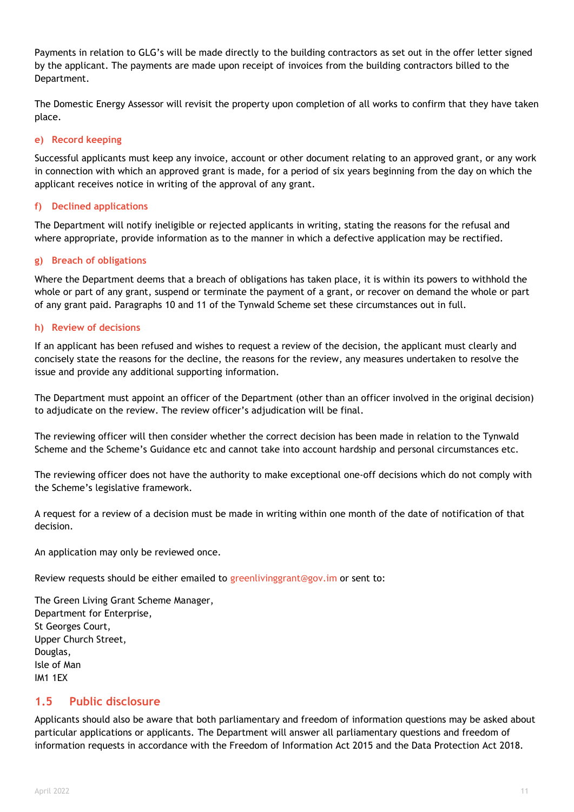Payments in relation to GLG's will be made directly to the building contractors as set out in the offer letter signed by the applicant. The payments are made upon receipt of invoices from the building contractors billed to the Department.

The Domestic Energy Assessor will revisit the property upon completion of all works to confirm that they have taken place.

#### <span id="page-10-0"></span>**e) Record keeping**

Successful applicants must keep any invoice, account or other document relating to an approved grant, or any work in connection with which an approved grant is made, for a period of six years beginning from the day on which the applicant receives notice in writing of the approval of any grant.

#### <span id="page-10-1"></span>**f) Declined applications**

The Department will notify ineligible or rejected applicants in writing, stating the reasons for the refusal and where appropriate, provide information as to the manner in which a defective application may be rectified.

#### <span id="page-10-2"></span>**g) Breach of obligations**

Where the Department deems that a breach of obligations has taken place, it is within its powers to withhold the whole or part of any grant, suspend or terminate the payment of a grant, or recover on demand the whole or part of any grant paid. Paragraphs 10 and 11 of the Tynwald Scheme set these circumstances out in full.

#### <span id="page-10-3"></span>**h) Review of decisions**

If an applicant has been refused and wishes to request a review of the decision, the applicant must clearly and concisely state the reasons for the decline, the reasons for the review, any measures undertaken to resolve the issue and provide any additional supporting information.

The Department must appoint an officer of the Department (other than an officer involved in the original decision) to adjudicate on the review. The review officer's adjudication will be final.

The reviewing officer will then consider whether the correct decision has been made in relation to the Tynwald Scheme and the Scheme's Guidance etc and cannot take into account hardship and personal circumstances etc.

The reviewing officer does not have the authority to make exceptional one-off decisions which do not comply with the Scheme's legislative framework.

A request for a review of a decision must be made in writing within one month of the date of notification of that decision.

An application may only be reviewed once.

Review requests should be either emailed to greenlivinggrant@gov.im or sent to:

The Green Living Grant Scheme Manager, Department for Enterprise, St Georges Court, Upper Church Street, Douglas, Isle of Man IM1 1EX

### <span id="page-10-4"></span>**1.5 Public disclosure**

Applicants should also be aware that both parliamentary and freedom of information questions may be asked about particular applications or applicants. The Department will answer all parliamentary questions and freedom of information requests in accordance with the Freedom of Information Act 2015 and the Data Protection Act 2018.